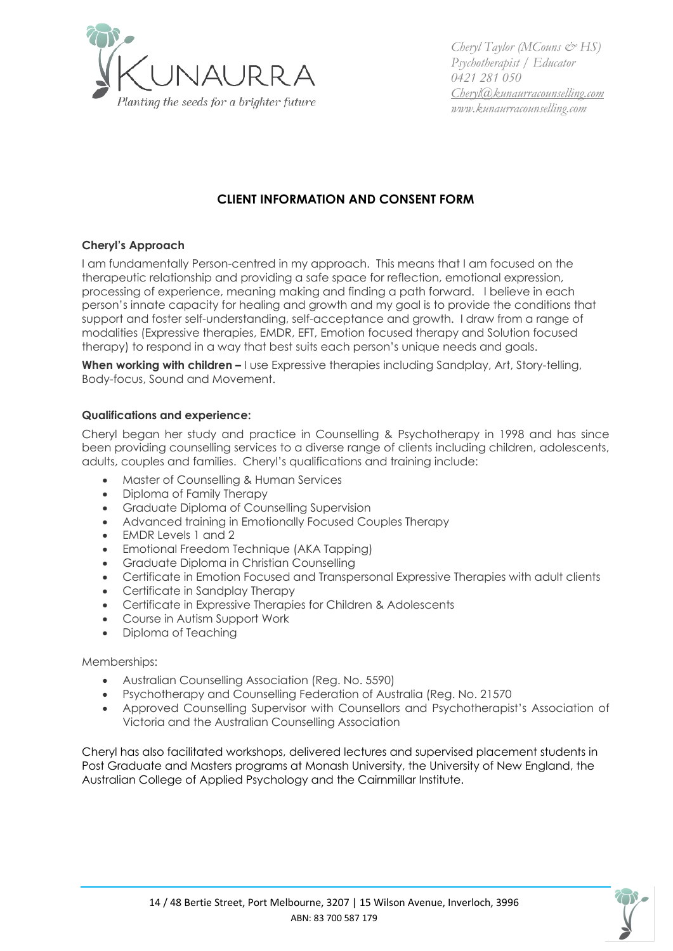

*Cheryl Taylor (MCouns & HS) Psychotherapist / Educator 0421 281 050 Cheryl@kunaurracounselling.com www.kunaurracounselling.com*

# **CLIENT INFORMATION AND CONSENT FORM**

# **Cheryl's Approach**

I am fundamentally Person-centred in my approach. This means that I am focused on the therapeutic relationship and providing a safe space for reflection, emotional expression, processing of experience, meaning making and finding a path forward. I believe in each person's innate capacity for healing and growth and my goal is to provide the conditions that support and foster self-understanding, self-acceptance and growth. I draw from a range of modalities (Expressive therapies, EMDR, EFT, Emotion focused therapy and Solution focused therapy) to respond in a way that best suits each person's unique needs and goals.

**When working with children –** I use Expressive therapies including Sandplay, Art, Story-telling, Body-focus, Sound and Movement.

### **Qualifications and experience:**

Cheryl began her study and practice in Counselling & Psychotherapy in 1998 and has since been providing counselling services to a diverse range of clients including children, adolescents, adults, couples and families. Cheryl's qualifications and training include:

- Master of Counselling & Human Services
- Diploma of Family Therapy
- Graduate Diploma of Counselling Supervision
- Advanced training in Emotionally Focused Couples Therapy
- EMDR Levels 1 and 2
- Emotional Freedom Technique (AKA Tapping)
- Graduate Diploma in Christian Counselling
- Certificate in Emotion Focused and Transpersonal Expressive Therapies with adult clients
- Certificate in Sandplay Therapy
- Certificate in Expressive Therapies for Children & Adolescents
- Course in Autism Support Work
- Diploma of Teaching

Memberships:

- Australian Counselling Association (Reg. No. 5590)
- Psychotherapy and Counselling Federation of Australia (Reg. No. 21570
- Approved Counselling Supervisor with Counsellors and Psychotherapist's Association of Victoria and the Australian Counselling Association

Cheryl has also facilitated workshops, delivered lectures and supervised placement students in Post Graduate and Masters programs at Monash University, the University of New England, the Australian College of Applied Psychology and the Cairnmillar Institute.